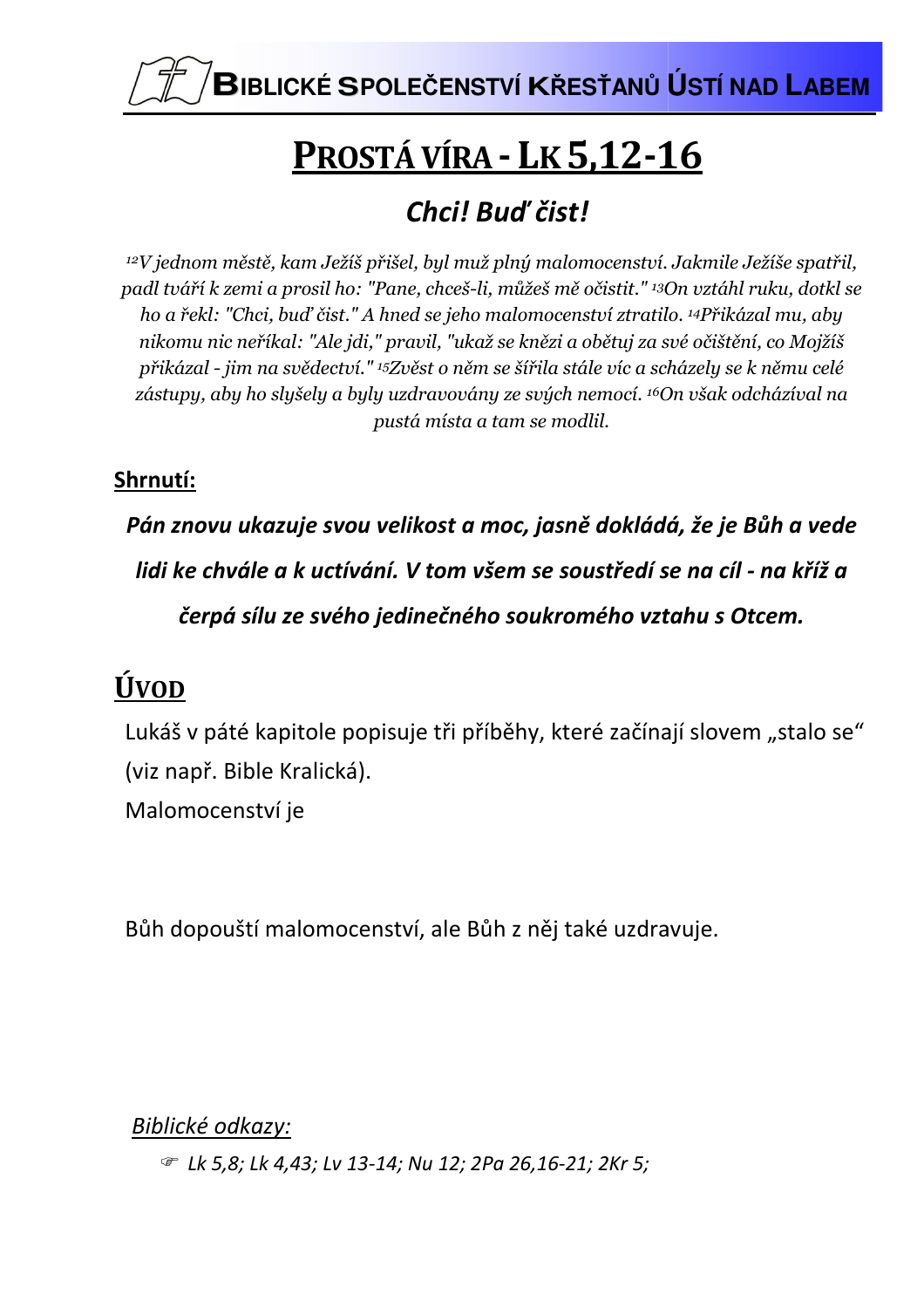

# PROSTÁ VÍRA - LK 5,12-16

## Chci! Bud' čist!

<sup>12</sup>V jednom městě, kam Ježíš přišel, byl muž plný malomocenství. Jakmile Ježíše spatřil, padl tváří k zemi a prosil ho: "Pane, chceš-li, můžeš mě očistit." <sup>13</sup>On vztáhl ruku, dotkl se ho a řekl: "Chci, buď čist." A hned se jeho malomocenství ztratilo. <sup>14</sup>Přikázal mu, aby nikomu nic neříkal: "Ale jdi," pravil, "ukaž se knězi a obětuj za své očištění, co Mojžíš přikázal - jim na svědectví." <sup>15</sup>Zvěst o něm se šířila stále víc a scházely se k němu celé zástupy, aby ho slyšely a byly uzdravovány ze svých nemocí. <sup>16</sup>On však odcházíval na pustá místa a tam se modlil.

### Shrnutí:

Pán znovu ukazuje svou velikost a moc, jasně dokládá, že je Bůh a vede lidi ke chvále a k uctívání. V tom všem se soustředí se na cíl - na kříž a čerpá sílu ze svého jedinečného soukromého vztahu s Otcem.

# ÚVOD

Lukáš v páté kapitole popisuje tři příběhy, které začínají slovem "stalo se" (viz např. Bible Kralická).

Malomocenství je

Bůh dopouští malomocenství, ale Bůh z něj také uzdravuje.

Biblické odkazy:

*■ Lk 5,8; Lk 4,43; Lv 13-14; Nu 12; 2Pa 26,16-21; 2Kr 5;*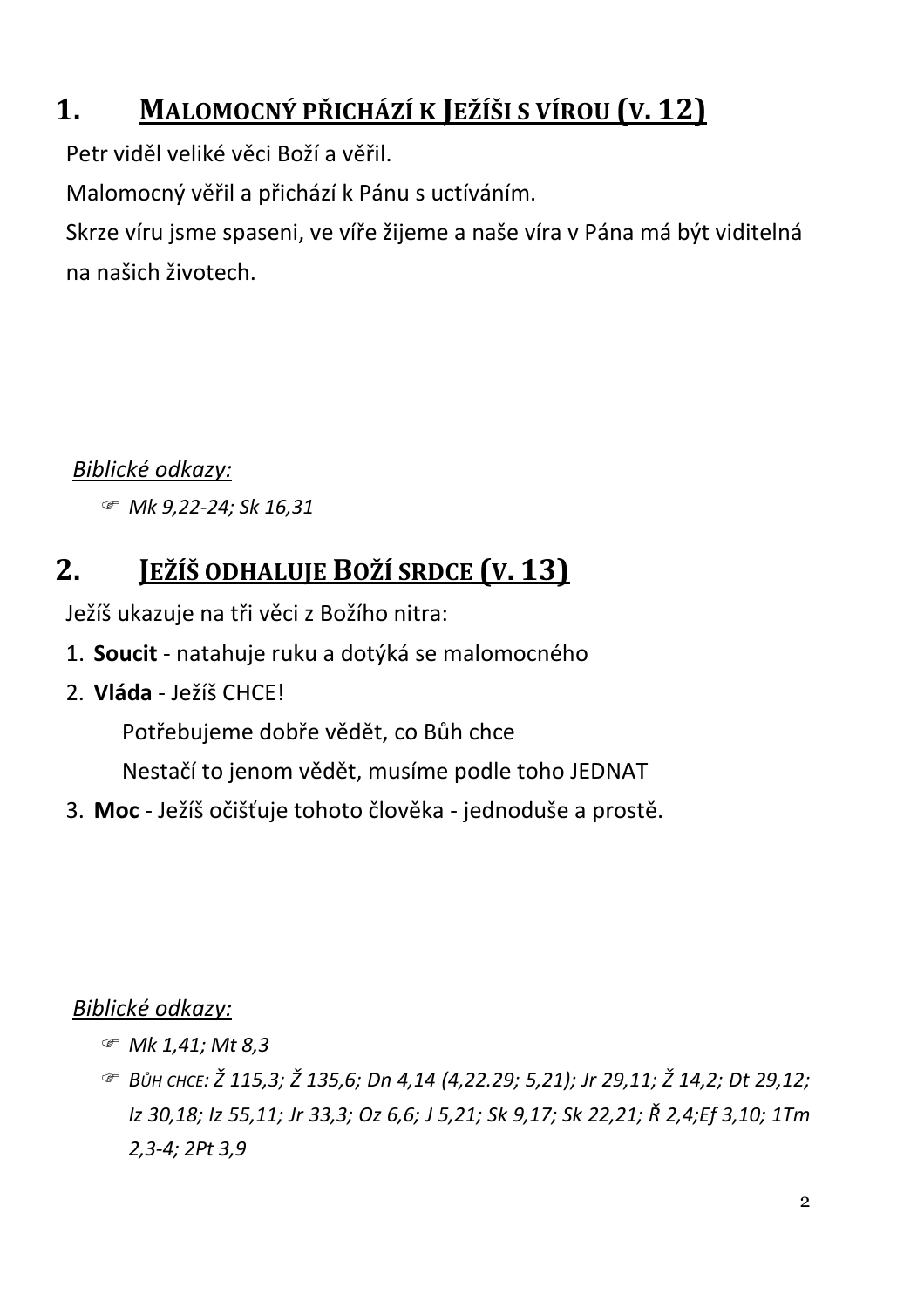#### $\mathbf 1$ . MALOMOCNÝ PŘICHÁZÍ K JEŽÍŠI S VÍROU (V. 12)

Petr viděl veliké věci Boží a věřil.

Malomocný věřil a přichází k Pánu s uctíváním.

Skrze víru jsme spaseni, ve víře žijeme a naše víra v Pána má být viditelná na našich životech.

### Biblické odkazy:

Mk 9,22-24; Sk 16,31

#### $2 -$ JEŽÍŠ ODHALUJE BOŽÍ SRDCE (V. 13)

Ježíš ukazuje na tři věci z Božího nitra:

- 1. Soucit natahuje ruku a dotýká se malomocného
- 2. Vláda ležíš CHCEL

Potřebujeme dobře vědět, co Bůh chce

Nestačí to jenom vědět, musíme podle toho JEDNAT

3. Moc - Ježíš očišťuje tohoto člověka - jednoduše a prostě.

Biblické odkazy:

- ☞ Mk 1,41; Mt 8,3
- BŮH CHCE: Ž 115.3: Ž 135.6: Dn 4.14 (4.22.29: 5.21): Jr 29.11: Ž 14.2: Dt 29.12: Iz 30,18; Iz 55,11; Jr 33,3; Oz 6,6; J 5,21; Sk 9,17; Sk 22,21; Ř 2,4;Ef 3,10; 1Tm  $2,3-4; 2Pt 3,9$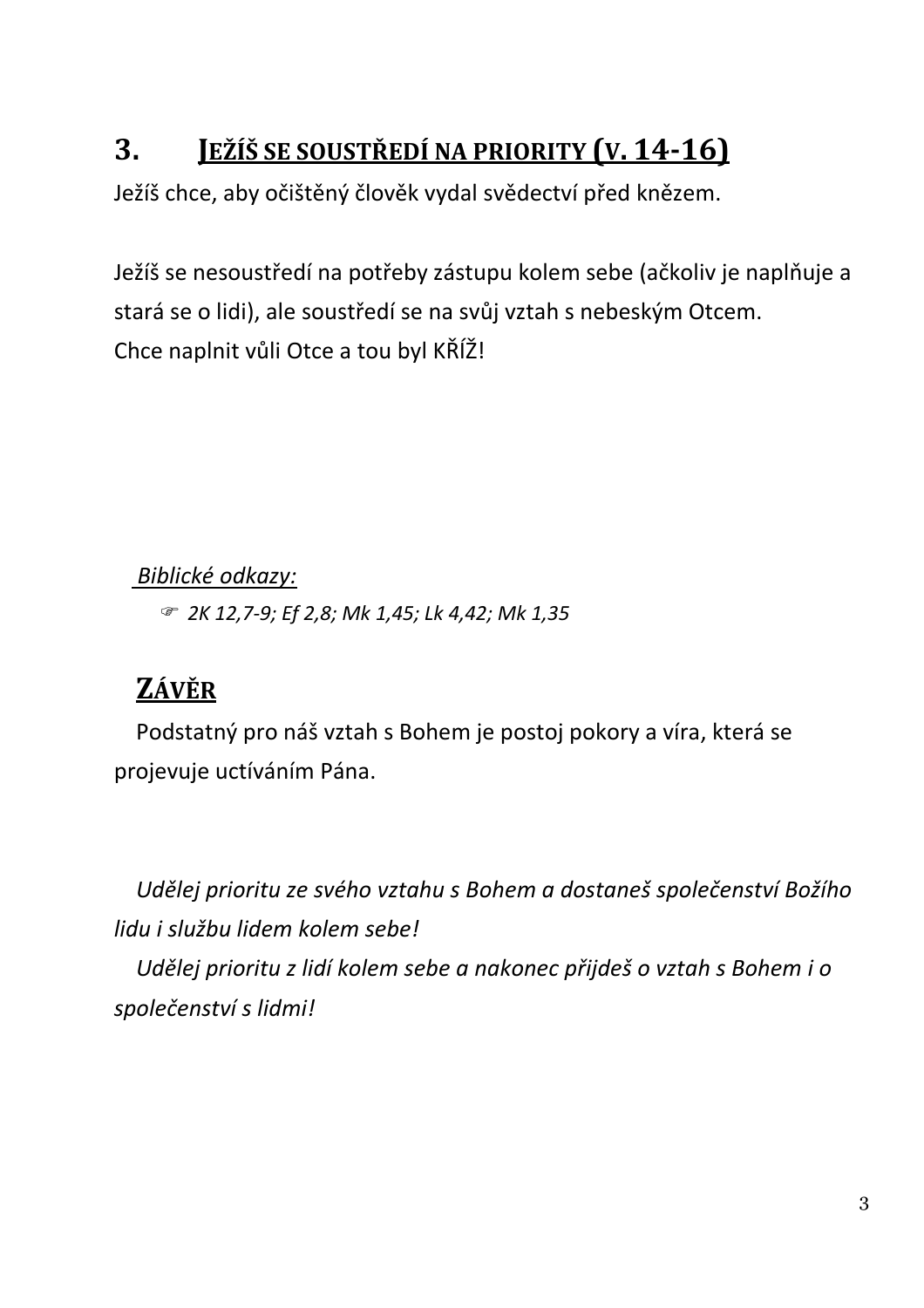#### **JEŽÍŠ SE SOUSTŘEDÍ NA PRIORITY (V. 14-16)** 3.

Ježíš chce, aby očištěný člověk vydal svědectví před knězem.

Ježíš se nesoustředí na potřeby zástupu kolem sebe (ačkoliv je naplňuje a stará se o lidi), ale soustředí se na svůj vztah s nebeským Otcem. Chce naplnit vůli Otce a tou byl KŘÍŽ!

Biblické odkazy:

☞ 2K 12,7-9; Ef 2,8; Mk 1,45; Lk 4,42; Mk 1,35

### ZÁVĚR

Podstatný pro náš vztah s Bohem je postoj pokory a víra, která se projevuje uctíváním Pána.

Udělej prioritu ze svého vztahu s Bohem a dostaneš společenství Božího lidu i službu lidem kolem sebe! Udělej prioritu z lidí kolem sebe a nakonec přijdeš o vztah s Bohem i o společenství s lidmi!